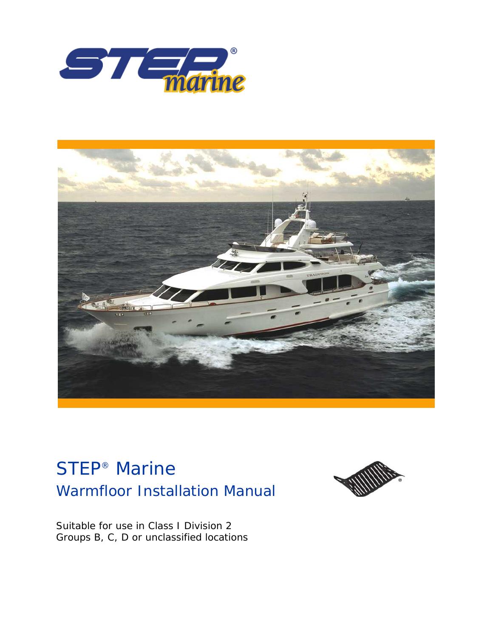



# Warmfloor Installation Manual STEP® Marine



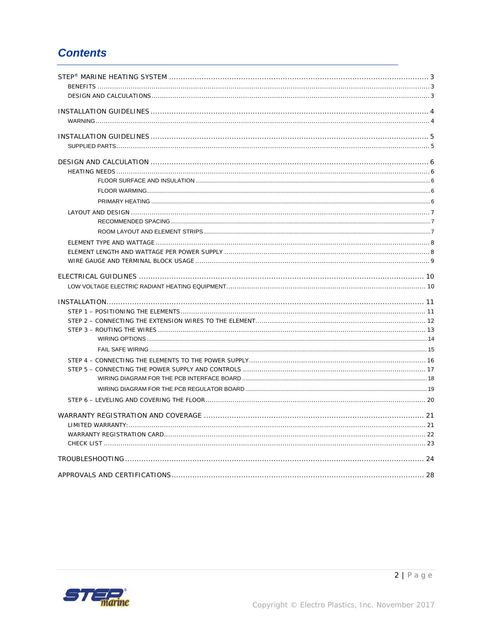# **Contents**

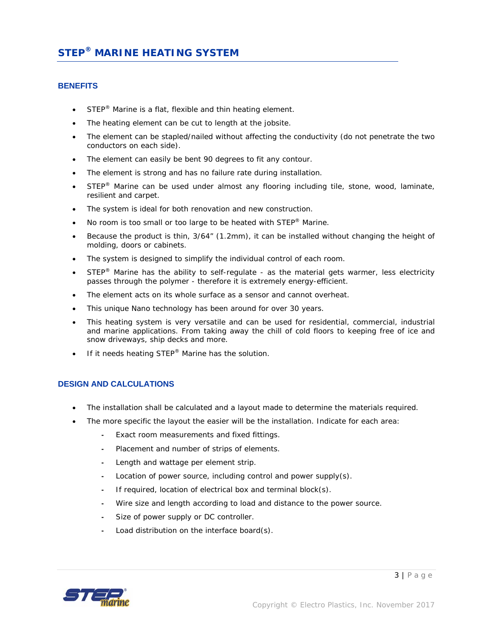### **BENEFITS**

- STEP<sup>®</sup> Marine is a flat, flexible and thin heating element.
- The heating element can be cut to length at the jobsite.
- The element can be stapled/nailed without affecting the conductivity (do not penetrate the two conductors on each side).
- The element can easily be bent 90 degrees to fit any contour.
- The element is strong and has no failure rate during installation.
- STEP<sup>®</sup> Marine can be used under almost any flooring including tile, stone, wood, laminate, resilient and carpet.
- The system is ideal for both renovation and new construction.
- No room is too small or too large to be heated with STEP® Marine.
- Because the product is thin, 3/64" (1.2mm), it can be installed without changing the height of molding, doors or cabinets.
- The system is designed to simplify the individual control of each room.
- STEP<sup>®</sup> Marine has the ability to self-regulate as the material gets warmer, less electricity passes through the polymer - therefore it is extremely energy-efficient.
- The element acts on its whole surface as a sensor and cannot overheat.
- This unique Nano technology has been around for over 30 years.
- This heating system is very versatile and can be used for residential, commercial, industrial and marine applications. From taking away the chill of cold floors to keeping free of ice and snow driveways, ship decks and more.
- If it needs heating STEP<sup>®</sup> Marine has the solution.

### **DESIGN AND CALCULATIONS**

- The installation shall be calculated and a layout made to determine the materials required.
- The more specific the layout the easier will be the installation. Indicate for each area:
	- Exact room measurements and fixed fittings.
	- Placement and number of strips of elements.
	- Length and wattage per element strip.
	- Location of power source, including control and power supply(s).
	- If required, location of electrical box and terminal block(s).
	- Wire size and length according to load and distance to the power source.
	- Size of power supply or DC controller.
	- Load distribution on the interface board(s).

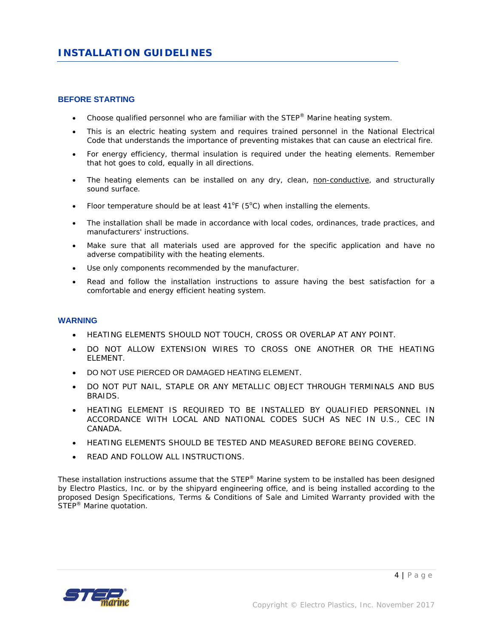### **BEFORE STARTING**

- Choose qualified personnel who are familiar with the  $\text{STEP}^{\circledast}$  Marine heating system.
- This is an electric heating system and requires trained personnel in the National Electrical Code that understands the importance of preventing mistakes that can cause an electrical fire.
- For energy efficiency, thermal insulation is required under the heating elements. Remember that hot goes to cold, equally in all directions.
- The heating elements can be installed on any dry, clean, non-conductive, and structurally sound surface.
- Floor temperature should be at least  $41^{\circ}F$  (5°C) when installing the elements.
- The installation shall be made in accordance with local codes, ordinances, trade practices, and manufacturers' instructions.
- Make sure that all materials used are approved for the specific application and have no adverse compatibility with the heating elements.
- Use only components recommended by the manufacturer.
- Read and follow the installation instructions to assure having the best satisfaction for a comfortable and energy efficient heating system.

### **WARNING**

- HEATING ELEMENTS SHOULD NOT TOUCH, CROSS OR OVERLAP AT ANY POINT.
- DO NOT ALLOW EXTENSION WIRES TO CROSS ONE ANOTHER OR THE HEATING ELEMENT.
- DO NOT USE PIERCED OR DAMAGED HEATING ELEMENT.
- DO NOT PUT NAIL, STAPLE OR ANY METALLIC OBJECT THROUGH TERMINALS AND BUS BRAIDS.
- HEATING ELEMENT IS REQUIRED TO BE INSTALLED BY QUALIFIED PERSONNEL IN ACCORDANCE WITH LOCAL AND NATIONAL CODES SUCH AS NEC IN U.S., CEC IN CANADA.
- HEATING ELEMENTS SHOULD BE TESTED AND MEASURED BEFORE BEING COVERED.
- READ AND FOLLOW ALL INSTRUCTIONS.

These installation instructions assume that the  $\text{STEP}^{\otimes}$  Marine system to be installed has been designed by Electro Plastics, Inc. or by the shipyard engineering office, and is being installed according to the proposed Design Specifications, Terms & Conditions of Sale and Limited Warranty provided with the STEP<sup>®</sup> Marine quotation.

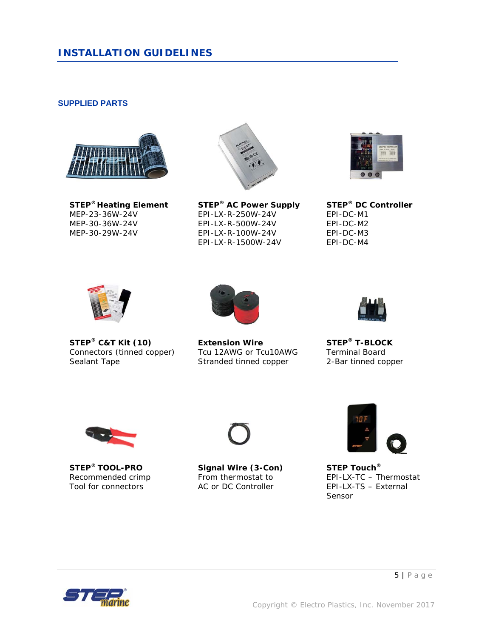### *INSTALLATION GUIDELINES*

### **SUPPLIED PARTS**





**STEP® Heating Element STEP® AC Power Supply STEP® DC Controller**   $EPI-LX-R-250W-24V$ MEP-30-36W-24V EPI-LX-R-500W-24V EPI-DC-M2 EPI-LX-R-100W-24V EPI-LX-R-1500W-24V EPI-DC-M4





Connectors (tinned copper) Sealant Tape Tape Stranded tinned copper 2-Bar tinned copper



**STEP<sup>®</sup> C&T Kit (10)**<br>
Connectors (tinned copper) Tcu 12AWG or Tcu10AWG Terminal Board







**STEP® TOOL-PRO Signal Wire (3-Con) STEP Touch®**



Recommended crimp From thermostat to EPI-LX-TC – Thermostat<br>
Tool for connectors AC or DC Controller EPI-LX-TS – External AC or DC Controller EPI-LX-TS – External Sensor

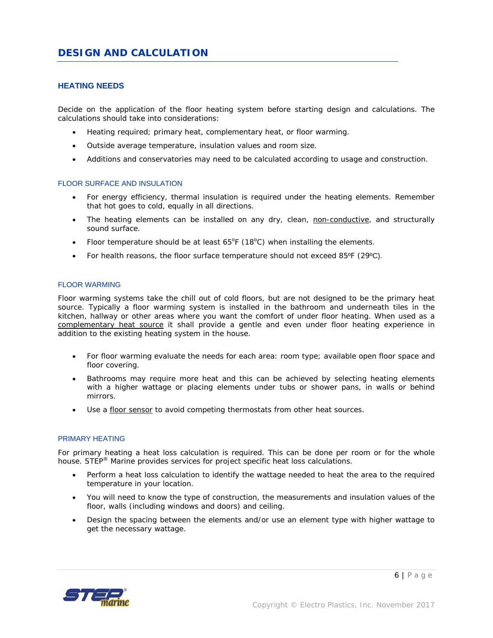### **HEATING NEEDS**

Decide on the application of the floor heating system before starting design and calculations. The calculations should take into considerations:

- Heating required; primary heat, complementary heat, or floor warming.
- Outside average temperature, insulation values and room size.
- Additions and conservatories may need to be calculated according to usage and construction.

### FLOOR SURFACE AND INSULATION

- For energy efficiency, thermal insulation is required under the heating elements. Remember that hot goes to cold, equally in all directions.
- The heating elements can be installed on any dry, clean, non-conductive, and structurally sound surface.
- Floor temperature should be at least  $65^{\circ}F(18^{\circ}C)$  when installing the elements.
- For health reasons, the floor surface temperature should not exceed 85ºF (29ºC).

### FLOOR WARMING

Floor warming systems take the chill out of cold floors, but are not designed to be the primary heat source. Typically a floor warming system is installed in the bathroom and underneath tiles in the kitchen, hallway or other areas where you want the comfort of under floor heating. When used as a complementary heat source it shall provide a gentle and even under floor heating experience in addition to the existing heating system in the house.

- For floor warming evaluate the needs for each area: room type; available open floor space and floor covering.
- Bathrooms may require more heat and this can be achieved by selecting heating elements with a higher wattage or placing elements under tubs or shower pans, in walls or behind mirrors.
- Use a floor sensor to avoid competing thermostats from other heat sources.

#### PRIMARY HEATING

For primary heating a heat loss calculation is required. This can be done per room or for the whole house. STEP® Marine provides services for project specific heat loss calculations.

- Perform a heat loss calculation to identify the wattage needed to heat the area to the required temperature in your location.
- You will need to know the type of construction, the measurements and insulation values of the floor, walls (including windows and doors) and ceiling.
- Design the spacing between the elements and/or use an element type with higher wattage to get the necessary wattage.

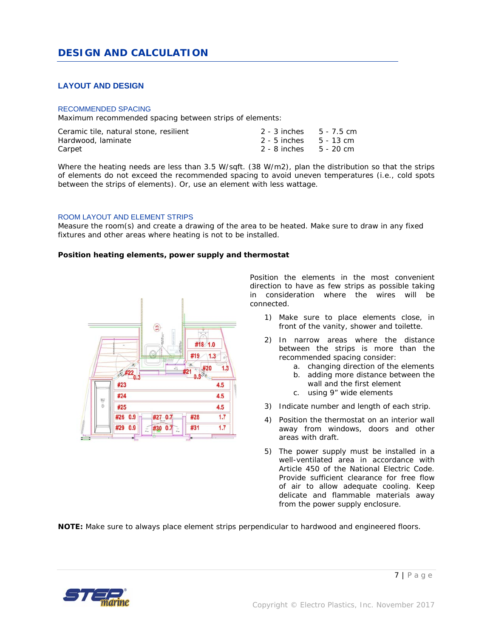### **LAYOUT AND DESIGN**

#### RECOMMENDED SPACING

Maximum recommended spacing between strips of elements:

| Ceramic tile, natural stone, resilient | 2 - 3 inches 5 - 7.5 cm |  |
|----------------------------------------|-------------------------|--|
| Hardwood, laminate                     | 2 - 5 inches 5 - 13 cm  |  |
| Carpet                                 | 2 - 8 inches 5 - 20 cm  |  |

Where the heating needs are less than 3.5 W/sqft. (38 W/m2), plan the distribution so that the strips of elements do not exceed the recommended spacing to avoid uneven temperatures (i.e., cold spots between the strips of elements). Or, use an element with less wattage.

### ROOM LAYOUT AND ELEMENT STRIPS

Measure the room(s) and create a drawing of the area to be heated. Make sure to draw in any fixed fixtures and other areas where heating is not to be installed.

#### *Position heating elements, power supply and thermostat*



Position the elements in the most convenient direction to have as few strips as possible taking in consideration where the wires will be connected.

- 1) Make sure to place elements close, in front of the vanity, shower and toilette.
- 2) In narrow areas where the distance between the strips is more than the recommended spacing consider:
	- a. changing direction of the elements
	- b. adding more distance between the wall and the first element
	- c. using 9" wide elements
- 3) Indicate number and length of each strip.
- 4) Position the thermostat on an interior wall away from windows, doors and other areas with draft.
- 5) The power supply must be installed in a well-ventilated area in accordance with Article 450 of the National Electric Code. Provide sufficient clearance for free flow of air to allow adequate cooling. Keep delicate and flammable materials away from the power supply enclosure.

**NOTE:** Make sure to always place element strips perpendicular to hardwood and engineered floors.

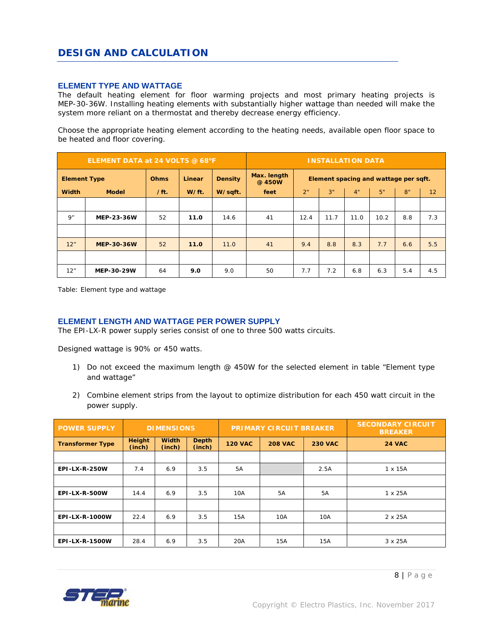### **ELEMENT TYPE AND WATTAGE**

The default heating element for floor warming projects and most primary heating projects is MEP-30-36W. Installing heating elements with substantially higher wattage than needed will make the system more reliant on a thermostat and thereby decrease energy efficiency.

Choose the appropriate heating element according to the heating needs, available open floor space to be heated and floor covering.

| ELEMENT DATA at 24 VOLTS @ 68°F |                   |             |        | <b>INSTALLATION DATA</b> |                                                                |                                  |      |      |      |     |     |
|---------------------------------|-------------------|-------------|--------|--------------------------|----------------------------------------------------------------|----------------------------------|------|------|------|-----|-----|
| <b>Element Type</b>             |                   | <b>Ohms</b> | Linear | <b>Density</b>           | Max. length<br>Element spacing and wattage per sqft.<br>@ 450W |                                  |      |      |      |     |     |
| <b>Width</b>                    | <b>Model</b>      | /ft.        | W/ft.  | W/sqft.                  | feet                                                           | 3"<br>5"<br>8"<br>2"<br>4"<br>12 |      |      |      |     |     |
|                                 |                   |             |        |                          |                                                                |                                  |      |      |      |     |     |
| 9"                              | <b>MEP-23-36W</b> | 52          | 11.0   | 14.6                     | 41                                                             | 12.4                             | 11.7 | 11.0 | 10.2 | 8.8 | 7.3 |
|                                 |                   |             |        |                          |                                                                |                                  |      |      |      |     |     |
| 12"                             | <b>MEP-30-36W</b> | 52          | 11.0   | 11.0                     | 41                                                             | 9.4                              | 8.8  | 8.3  | 7.7  | 6.6 | 5.5 |
|                                 |                   |             |        |                          |                                                                |                                  |      |      |      |     |     |
| 12"                             | <b>MEP-30-29W</b> | 64          | 9.0    | 9.0                      | 50                                                             | 7.7                              | 7.2  | 6.8  | 6.3  | 5.4 | 4.5 |

*Table: Element type and wattage* 

### **ELEMENT LENGTH AND WATTAGE PER POWER SUPPLY**

The EPI-LX-R power supply series consist of one to three 500 watts circuits.

Designed wattage is 90% or 450 watts.

- 1) Do not exceed the maximum length @ 450W for the selected element in table "Element type and wattage"
- 2) Combine element strips from the layout to optimize distribution for each 450 watt circuit in the power supply.

| <b>POWER SUPPLY</b>     | <b>DIMENSIONS</b>       |                        |                        | <b>PRIMARY CIRCUIT BREAKER</b> |                |                | <b>SECONDARY CIRCUIT</b><br><b>BREAKER</b> |
|-------------------------|-------------------------|------------------------|------------------------|--------------------------------|----------------|----------------|--------------------------------------------|
| <b>Transformer Type</b> | <b>Height</b><br>(inch) | <b>Width</b><br>(inch) | <b>Depth</b><br>(inch) | <b>120 VAC</b>                 | <b>208 VAC</b> | <b>230 VAC</b> | <b>24 VAC</b>                              |
|                         |                         |                        |                        |                                |                |                |                                            |
| <b>EPI-LX-R-250W</b>    | 7.4                     | 6.9                    | 3.5                    | 5A                             |                | 2.5A           | 1 x 15A                                    |
|                         |                         |                        |                        |                                |                |                |                                            |
| <b>EPI-LX-R-500W</b>    | 14.4                    | 6.9                    | 3.5                    | 10A                            | 5A             | <b>5A</b>      | $1 \times 25A$                             |
|                         |                         |                        |                        |                                |                |                |                                            |
| EPI-LX-R-1000W          | 22.4                    | 6.9                    | 3.5                    | 15A                            | 10A            | 10A            | 2 x 25A                                    |
|                         |                         |                        |                        |                                |                |                |                                            |
| EPI-LX-R-1500W          | 28.4                    | 6.9                    | 3.5                    | 20A                            | 15A            | 15A            | 3 x 25A                                    |

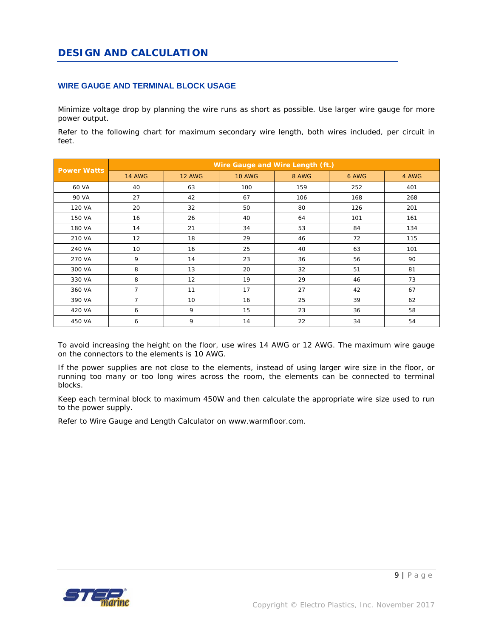### **WIRE GAUGE AND TERMINAL BLOCK USAGE**

Minimize voltage drop by planning the wire runs as short as possible. Use larger wire gauge for more power output.

Refer to the following chart for maximum secondary wire length, both wires included, per circuit in feet.

| <b>Power Watts</b> | Wire Gauge and Wire Length (ft.) |               |               |       |       |       |  |  |
|--------------------|----------------------------------|---------------|---------------|-------|-------|-------|--|--|
|                    | <b>14 AWG</b>                    | <b>12 AWG</b> | <b>10 AWG</b> | 8 AWG | 6 AWG | 4 AWG |  |  |
| 60 VA              | 40                               | 63            | 100           | 159   | 252   | 401   |  |  |
| 90 VA              | 27                               | 42            | 67            | 106   | 168   | 268   |  |  |
| 120 VA             | 20                               | 32            | 50            | 80    | 126   | 201   |  |  |
| 150 VA             | 16                               | 26            | 40            | 64    | 101   | 161   |  |  |
| 180 VA             | 14                               | 21            | 34            | 53    | 84    | 134   |  |  |
| 210 VA             | 12                               | 18            | 29            | 46    | 72    | 115   |  |  |
| 240 VA             | 10                               | 16            | 25            | 40    | 63    | 101   |  |  |
| 270 VA             | 9                                | 14            | 23            | 36    | 56    | 90    |  |  |
| 300 VA             | 8                                | 13            | 20            | 32    | 51    | 81    |  |  |
| 330 VA             | 8                                | 12            | 19            | 29    | 46    | 73    |  |  |
| 360 VA             | $\overline{7}$                   | 11            | 17            | 27    | 42    | 67    |  |  |
| 390 VA             | $\overline{7}$                   | 10            | 16            | 25    | 39    | 62    |  |  |
| 420 VA             | 6                                | 9             | 15            | 23    | 36    | 58    |  |  |
| 450 VA             | 6                                | 9             | 14            | 22    | 34    | 54    |  |  |

To avoid increasing the height on the floor, use wires 14 AWG or 12 AWG. The maximum wire gauge on the connectors to the elements is 10 AWG.

If the power supplies are not close to the elements, instead of using larger wire size in the floor, or running too many or too long wires across the room, the elements can be connected to terminal blocks.

Keep each terminal block to maximum 450W and then calculate the appropriate wire size used to run to the power supply.

Refer to Wire Gauge and Length Calculator on www.warmfloor.com.

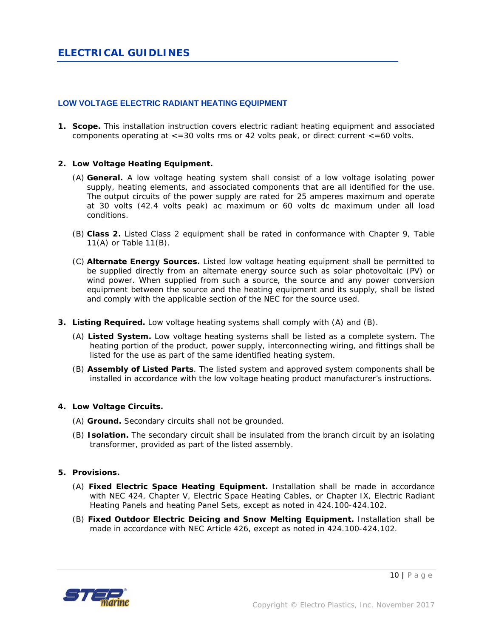### **LOW VOLTAGE ELECTRIC RADIANT HEATING EQUIPMENT**

**1. Scope.** This installation instruction covers electric radiant heating equipment and associated components operating at  $\lt$ =30 volts rms or 42 volts peak, or direct current  $\lt$ =60 volts.

### **2. Low Voltage Heating Equipment.**

- (A) **General.** A low voltage heating system shall consist of a low voltage isolating power supply, heating elements, and associated components that are all identified for the use. The output circuits of the power supply are rated for 25 amperes maximum and operate at 30 volts (42.4 volts peak) ac maximum or 60 volts dc maximum under all load conditions.
- (B) **Class 2.** Listed Class 2 equipment shall be rated in conformance with Chapter 9, Table 11(A) or Table 11(B).
- (C) **Alternate Energy Sources.** Listed low voltage heating equipment shall be permitted to be supplied directly from an alternate energy source such as solar photovoltaic (PV) or wind power. When supplied from such a source, the source and any power conversion equipment between the source and the heating equipment and its supply, shall be listed and comply with the applicable section of the NEC for the source used.
- **3. Listing Required.** Low voltage heating systems shall comply with (A) and (B).
	- (A) **Listed System.** Low voltage heating systems shall be listed as a complete system. The heating portion of the product, power supply, interconnecting wiring, and fittings shall be listed for the use as part of the same identified heating system.
	- (B) **Assembly of Listed Parts**. The listed system and approved system components shall be installed in accordance with the low voltage heating product manufacturer's instructions.

### **4. Low Voltage Circuits.**

- (A) **Ground.** Secondary circuits shall not be grounded.
- (B) **Isolation.** The secondary circuit shall be insulated from the branch circuit by an isolating transformer, provided as part of the listed assembly.

### **5. Provisions.**

- (A) **Fixed Electric Space Heating Equipment.** Installation shall be made in accordance with NEC 424, Chapter V, Electric Space Heating Cables, or Chapter IX, Electric Radiant Heating Panels and heating Panel Sets, except as noted in 424.100-424.102.
- (B) **Fixed Outdoor Electric Deicing and Snow Melting Equipment.** Installation shall be made in accordance with NEC Article 426, except as noted in 424.100-424.102.

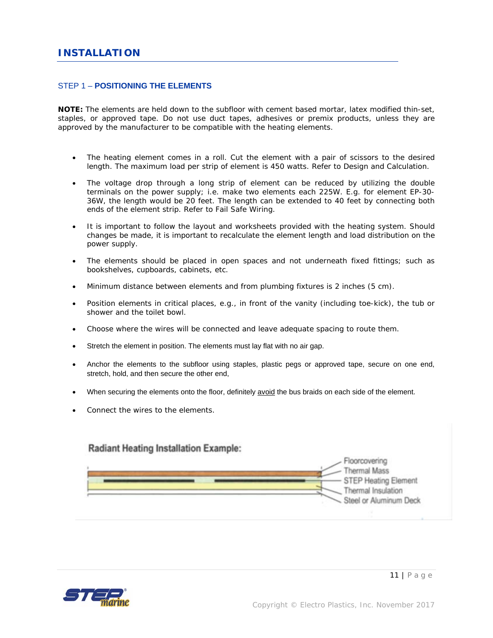### STEP 1 – **POSITIONING THE ELEMENTS**

**NOTE:** The elements are held down to the subfloor with cement based mortar, latex modified thin-set, staples, or approved tape. Do not use duct tapes, adhesives or premix products, unless they are approved by the manufacturer to be compatible with the heating elements.

- The heating element comes in a roll. Cut the element with a pair of scissors to the desired length. The maximum load per strip of element is 450 watts. Refer to Design and Calculation.
- The voltage drop through a long strip of element can be reduced by utilizing the double terminals on the power supply; i.e. make two elements each 225W. E.g. for element EP-30- 36W, the length would be 20 feet. The length can be extended to 40 feet by connecting both ends of the element strip. Refer to Fail Safe Wiring.
- It is important to follow the layout and worksheets provided with the heating system. Should changes be made, it is important to recalculate the element length and load distribution on the power supply.
- The elements should be placed in open spaces and not underneath fixed fittings; such as bookshelves, cupboards, cabinets, etc.
- Minimum distance between elements and from plumbing fixtures is 2 inches (5 cm).
- Position elements in critical places, e.g., in front of the vanity (including toe-kick), the tub or shower and the toilet bowl.
- Choose where the wires will be connected and leave adequate spacing to route them.
- Stretch the element in position. The elements must lay flat with no air gap.
- Anchor the elements to the subfloor using staples, plastic pegs or approved tape, secure on one end, stretch, hold, and then secure the other end,
- When securing the elements onto the floor, definitely avoid the bus braids on each side of the element.
- Connect the wires to the elements.



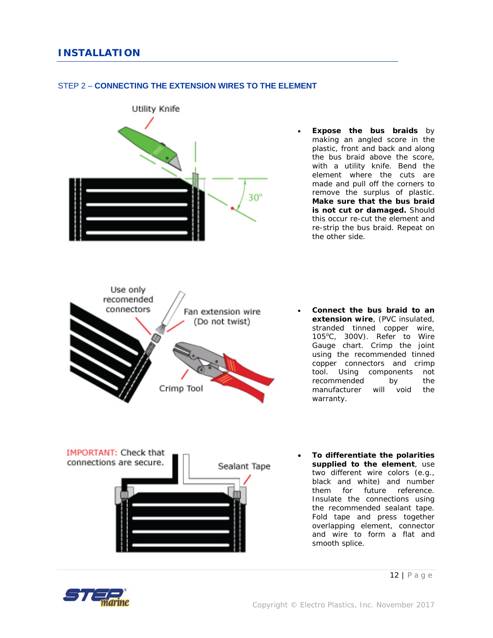

### STEP 2 – **CONNECTING THE EXTENSION WIRES TO THE ELEMENT**



- **Connect the bus braid to an extension wire**, (PVC insulated, stranded tinned copper wire, 105°C, 300V). Refer to Wire Gauge chart. Crimp the joint using the recommended tinned copper connectors and crimp tool. Using components not recommended by the manufacturer will void the warranty.
	- **To differentiate the polarities supplied to the element**, use two different wire colors (e.g., black and white) and number them for future reference. Insulate the connections using the recommended sealant tape. Fold tape and press together overlapping element, connector and wire to form a flat and smooth splice.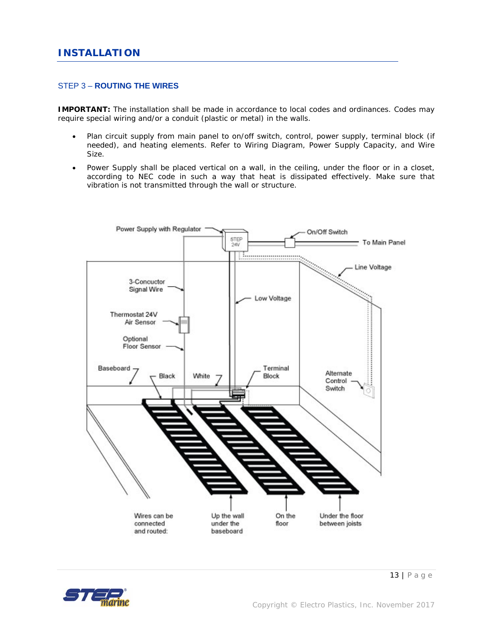### STEP 3 – **ROUTING THE WIRES**

**IMPORTANT:** The installation shall be made in accordance to local codes and ordinances. Codes may require special wiring and/or a conduit (plastic or metal) in the walls.

- Plan circuit supply from main panel to on/off switch, control, power supply, terminal block (if needed), and heating elements. Refer to Wiring Diagram, Power Supply Capacity, and Wire Size.
- Power Supply shall be placed vertical on a wall, in the ceiling, under the floor or in a closet, according to NEC code in such a way that heat is dissipated effectively. Make sure that vibration is not transmitted through the wall or structure.



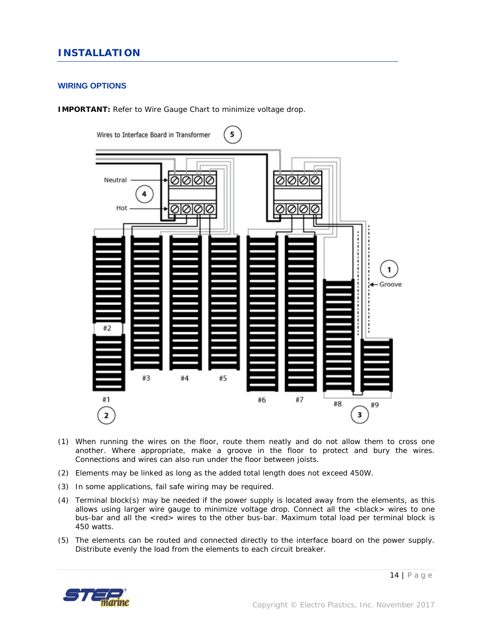### *INSTALLATION*

### **WIRING OPTIONS**

**IMPORTANT:** Refer to Wire Gauge Chart to minimize voltage drop.



- (1) When running the wires on the floor, route them neatly and do not allow them to cross one another. Where appropriate, make a groove in the floor to protect and bury the wires. Connections and wires can also run under the floor between joists.
- (2) Elements may be linked as long as the added total length does not exceed 450W.
- (3) In some applications, fail safe wiring may be required.
- (4) Terminal block(s) may be needed if the power supply is located away from the elements, as this allows using larger wire gauge to minimize voltage drop. Connect all the <black> wires to one bus-bar and all the <red> wires to the other bus-bar. Maximum total load per terminal block is 450 watts.
- (5) The elements can be routed and connected directly to the interface board on the power supply. Distribute evenly the load from the elements to each circuit breaker.

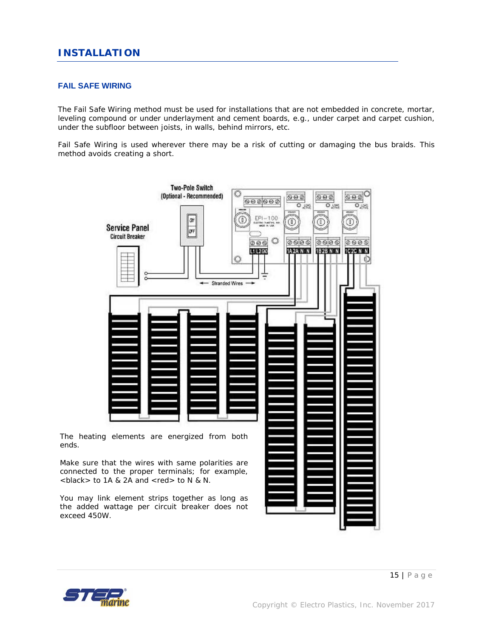### **FAIL SAFE WIRING**

The Fail Safe Wiring method must be used for installations that are not embedded in concrete, mortar, leveling compound or under underlayment and cement boards, e.g., under carpet and carpet cushion, under the subfloor between joists, in walls, behind mirrors, etc.

Fail Safe Wiring is used wherever there may be a risk of cutting or damaging the bus braids. This method avoids creating a short.



ends.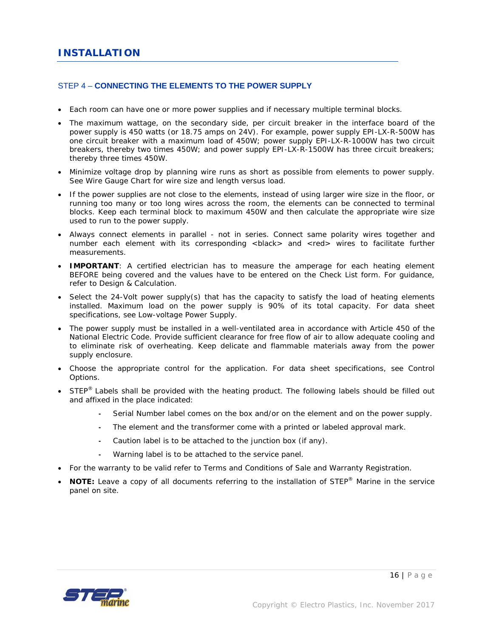### STEP 4 – **CONNECTING THE ELEMENTS TO THE POWER SUPPLY**

- Each room can have one or more power supplies and if necessary multiple terminal blocks.
- The maximum wattage, on the secondary side, per circuit breaker in the interface board of the power supply is 450 watts (or 18.75 amps on 24V). For example, power supply EPI-LX-R-500W has one circuit breaker with a maximum load of 450W; power supply EPI-LX-R-1000W has two circuit breakers, thereby two times 450W; and power supply EPI-LX-R-1500W has three circuit breakers; thereby three times 450W.
- Minimize voltage drop by planning wire runs as short as possible from elements to power supply. See Wire Gauge Chart for wire size and length versus load.
- If the power supplies are not close to the elements, instead of using larger wire size in the floor, or running too many or too long wires across the room, the elements can be connected to terminal blocks. Keep each terminal block to maximum 450W and then calculate the appropriate wire size used to run to the power supply.
- Always connect elements in parallel not in series. Connect same polarity wires together and number each element with its corresponding <br/>black> and <red> wires to facilitate further measurements.
- **IMPORTANT**: A certified electrician has to measure the amperage for each heating element BEFORE being covered and the values have to be entered on the Check List form. For guidance, refer to Design & Calculation.
- Select the 24-Volt power supply(s) that has the capacity to satisfy the load of heating elements installed. Maximum load on the power supply is 90% of its total capacity. For data sheet specifications, see Low-voltage Power Supply.
- The power supply must be installed in a well-ventilated area in accordance with Article 450 of the National Electric Code. Provide sufficient clearance for free flow of air to allow adequate cooling and to eliminate risk of overheating. Keep delicate and flammable materials away from the power supply enclosure.
- Choose the appropriate control for the application. For data sheet specifications, see Control Options.
- $\bullet$  STEP<sup>®</sup> Labels shall be provided with the heating product. The following labels should be filled out and affixed in the place indicated:
	- Serial Number label comes on the box and/or on the element and on the power supply.
	- The element and the transformer come with a printed or labeled approval mark.
	- Caution label is to be attached to the junction box (if any).
	- Warning label is to be attached to the service panel.
- For the warranty to be valid refer to Terms and Conditions of Sale and Warranty Registration.
- **NOTE:** Leave a copy of all documents referring to the installation of STEP<sup>®</sup> Marine in the service panel on site.

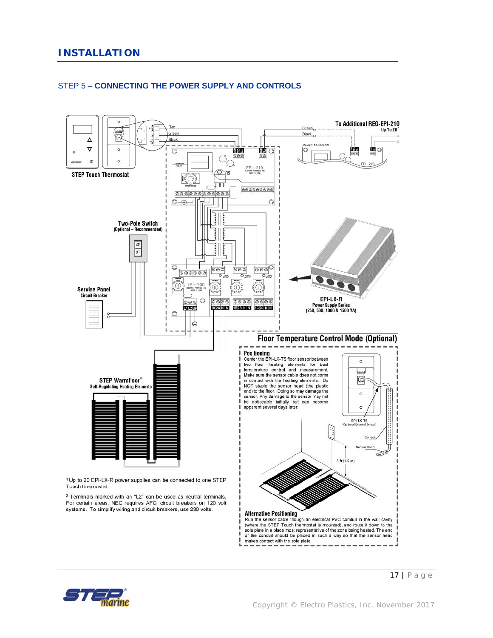

### STEP 5 – **CONNECTING THE POWER SUPPLY AND CONTROLS**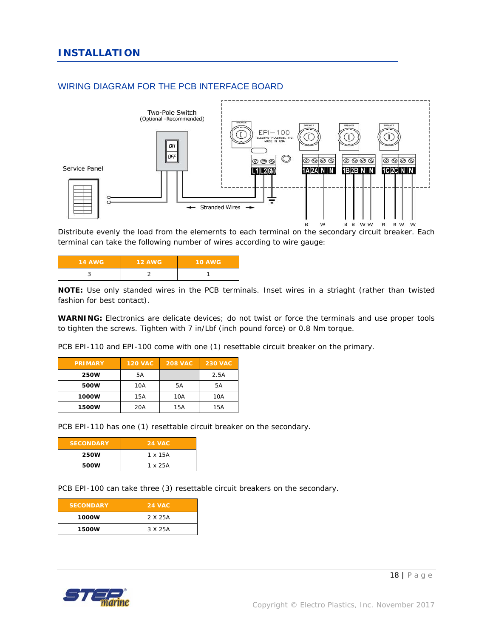

### WIRING DIAGRAM FOR THE PCB INTERFACE BOARD

Distribute evenly the load from the elemernts to each terminal on the secondary circuit breaker. Each terminal can take the following number of wires according to wire gauge:

| <b>14 AWG</b> | <b>12 AWG</b> | <b>10 AWG</b> |
|---------------|---------------|---------------|
|               |               |               |

**NOTE:** Use only standed wires in the PCB terminals. Inset wires in a striaght (rather than twisted fashion for best contact).

**WARNING:** Electronics are delicate devices; do not twist or force the terminals and use proper tools to tighten the screws. Tighten with 7 in/Lbf (inch pound force) or 0.8 Nm torque.

PCB EPI-110 and EPI-100 come with one (1) resettable circuit breaker on the primary.

| <b>PRIMARY</b> | <b>120 VAC</b> | <b>208 VAC</b> | <b>230 VAC</b> |
|----------------|----------------|----------------|----------------|
| 250W           | 5A             |                | 2.5A           |
| 500W           | 10A            | 5A             | 5A             |
| 1000W          | 15A            | 10A            | 10A            |
| <b>1500W</b>   | 20A            | 15A            | 15A            |

PCB EPI-110 has one (1) resettable circuit breaker on the secondary.

| <b>SECONDARY</b> | <b>24 VAC</b> |  |
|------------------|---------------|--|
| 250W             | 1 x 15A       |  |
| 500W             | 1 x 25A       |  |

PCB EPI-100 can take three (3) resettable circuit breakers on the secondary.

| <b>SECONDARY</b> | <b>24 VAC</b> |
|------------------|---------------|
| 1000W            | 2 X 25A       |
| <b>1500W</b>     | 3 X 25A       |

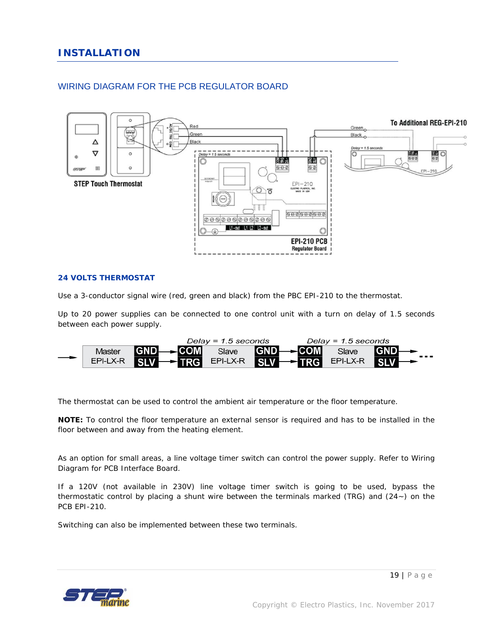### WIRING DIAGRAM FOR THE PCB REGULATOR BOARD



### **24 VOLTS THERMOSTAT**

Use a 3-conductor signal wire (red, green and black) from the PBC EPI-210 to the thermostat.

Up to 20 power supplies can be connected to one control unit with a turn on delay of 1.5 seconds between each power supply.



The thermostat can be used to control the ambient air temperature or the floor temperature.

**NOTE:** To control the floor temperature an external sensor is required and has to be installed in the floor between and away from the heating element.

As an option for small areas, a line voltage timer switch can control the power supply. Refer to Wiring Diagram for PCB Interface Board.

If a 120V (not available in 230V) line voltage timer switch is going to be used, bypass the thermostatic control by placing a shunt wire between the terminals marked (TRG) and  $(24-)$  on the PCB EPI-210.

Switching can also be implemented between these two terminals.

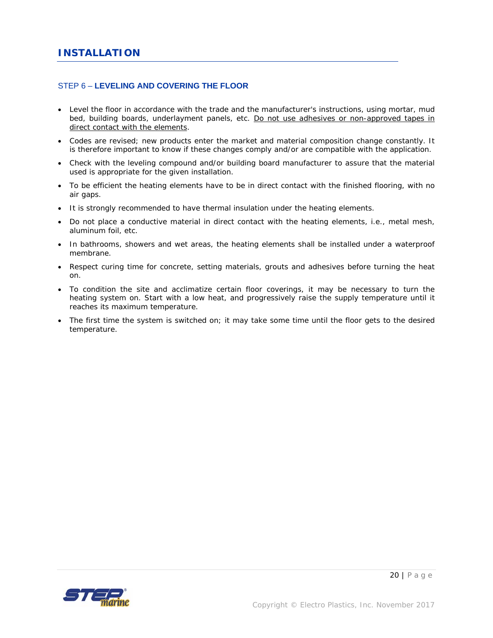### STEP 6 – **LEVELING AND COVERING THE FLOOR**

- Level the floor in accordance with the trade and the manufacturer's instructions, using mortar, mud bed, building boards, underlayment panels, etc. Do not use adhesives or non-approved tapes in direct contact with the elements.
- Codes are revised; new products enter the market and material composition change constantly. It is therefore important to know if these changes comply and/or are compatible with the application.
- Check with the leveling compound and/or building board manufacturer to assure that the material used is appropriate for the given installation.
- To be efficient the heating elements have to be in direct contact with the finished flooring, with no air gaps.
- It is strongly recommended to have thermal insulation under the heating elements.
- Do not place a conductive material in direct contact with the heating elements, i.e., metal mesh, aluminum foil, etc.
- In bathrooms, showers and wet areas, the heating elements shall be installed under a waterproof membrane.
- Respect curing time for concrete, setting materials, grouts and adhesives before turning the heat on.
- To condition the site and acclimatize certain floor coverings, it may be necessary to turn the heating system on. Start with a low heat, and progressively raise the supply temperature until it reaches its maximum temperature.
- The first time the system is switched on; it may take some time until the floor gets to the desired temperature.

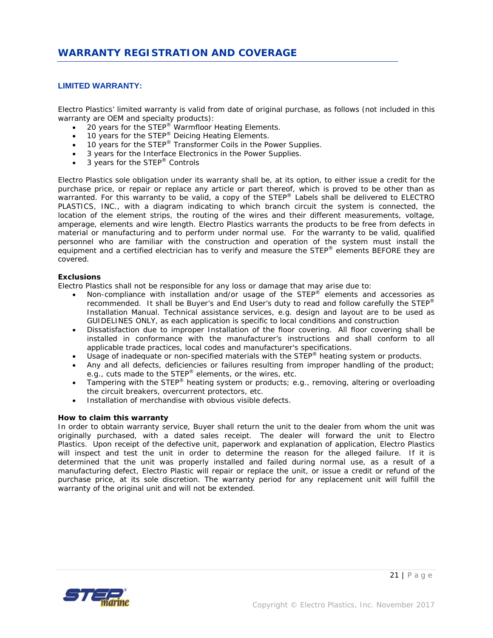### **LIMITED WARRANTY:**

Electro Plastics' limited warranty is valid from date of original purchase, as follows (not included in this warranty are OEM and specialty products):

- $\bullet$  20 years for the STEP<sup>®</sup> Warmfloor Heating Elements.
- $\bullet$  10 years for the STEP<sup>®</sup> Deicing Heating Elements.
- $\bullet$  10 years for the STEP<sup>®</sup> Transformer Coils in the Power Supplies.
- 3 years for the Interface Electronics in the Power Supplies.
- 3 years for the STEP<sup>®</sup> Controls

Electro Plastics sole obligation under its warranty shall be, at its option, to either issue a credit for the purchase price, or repair or replace any article or part thereof, which is proved to be other than as warranted. For this warranty to be valid, a copy of the STEP® Labels shall be delivered to ELECTRO PLASTICS, INC., with a diagram indicating to which branch circuit the system is connected, the location of the element strips, the routing of the wires and their different measurements, voltage, amperage, elements and wire length. Electro Plastics warrants the products to be free from defects in material or manufacturing and to perform under normal use. For the warranty to be valid, qualified personnel who are familiar with the construction and operation of the system must install the equipment and a certified electrician has to verify and measure the STEP® elements BEFORE they are covered.

### *Exclusions*

Electro Plastics shall not be responsible for any loss or damage that may arise due to:

- Non-compliance with installation and/or usage of the STEP® elements and accessories as recommended. It shall be Buyer's and End User's duty to read and follow carefully the STEP® Installation Manual. Technical assistance services, e.g. design and layout are to be used as GUIDELINES ONLY, as each application is specific to local conditions and construction
- Dissatisfaction due to improper Installation of the floor covering. All floor covering shall be installed in conformance with the manufacturer's instructions and shall conform to all applicable trade practices, local codes and manufacturer's specifications.
- Usage of inadequate or non-specified materials with the STEP<sup>®</sup> heating system or products.
- Any and all defects, deficiencies or failures resulting from improper handling of the product; e.g., cuts made to the STEP® elements, or the wires, etc.
- $\bullet$  Tampering with the STEP<sup>®</sup> heating system or products; e.g., removing, altering or overloading the circuit breakers, overcurrent protectors, etc.
- Installation of merchandise with obvious visible defects.

#### *How to claim this warranty*

In order to obtain warranty service, Buyer shall return the unit to the dealer from whom the unit was originally purchased, with a dated sales receipt. The dealer will forward the unit to Electro Plastics. Upon receipt of the defective unit, paperwork and explanation of application, Electro Plastics will inspect and test the unit in order to determine the reason for the alleged failure. If it is determined that the unit was properly installed and failed during normal use, as a result of a manufacturing defect, Electro Plastic will repair or replace the unit, or issue a credit or refund of the purchase price, at its sole discretion. The warranty period for any replacement unit will fulfill the warranty of the original unit and will not be extended.

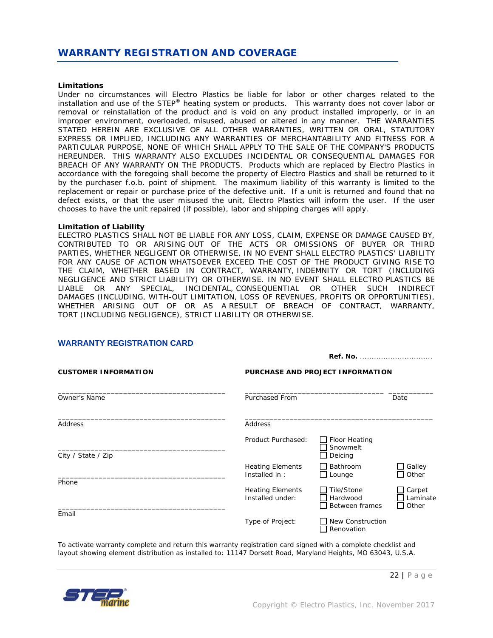#### *Limitations*

Under no circumstances will Electro Plastics be liable for labor or other charges related to the installation and use of the STEP® heating system or products. This warranty does not cover labor or removal or reinstallation of the product and is void on any product installed improperly, or in an improper environment, overloaded, misused, abused or altered in any manner. THE WARRANTIES STATED HEREIN ARE EXCLUSIVE OF ALL OTHER WARRANTIES, WRITTEN OR ORAL, STATUTORY EXPRESS OR IMPLIED, INCLUDING ANY WARRANTIES OF MERCHANTABILITY AND FITNESS FOR A PARTICULAR PURPOSE, NONE OF WHICH SHALL APPLY TO THE SALE OF THE COMPANY'S PRODUCTS HEREUNDER. THIS WARRANTY ALSO EXCLUDES INCIDENTAL OR CONSEQUENTIAL DAMAGES FOR BREACH OF ANY WARRANTY ON THE PRODUCTS. Products which are replaced by Electro Plastics in accordance with the foregoing shall become the property of Electro Plastics and shall be returned to it by the purchaser f.o.b. point of shipment. The maximum liability of this warranty is limited to the replacement or repair or purchase price of the defective unit. If a unit is returned and found that no defect exists, or that the user misused the unit, Electro Plastics will inform the user. If the user chooses to have the unit repaired (if possible), labor and shipping charges will apply.

#### *Limitation of Liability*

ELECTRO PLASTICS SHALL NOT BE LIABLE FOR ANY LOSS, CLAIM, EXPENSE OR DAMAGE CAUSED BY, CONTRIBUTED TO OR ARISING OUT OF THE ACTS OR OMISSIONS OF BUYER OR THIRD PARTIES, WHETHER NEGLIGENT OR OTHERWISE, IN NO EVENT SHALL ELECTRO PLASTICS' LIABILITY FOR ANY CAUSE OF ACTION WHATSOEVER EXCEED THE COST OF THE PRODUCT GIVING RISE TO THE CLAIM, WHETHER BASED IN CONTRACT, WARRANTY, INDEMNITY OR TORT (INCLUDING NEGLIGENCE AND STRICT LIABILITY) OR OTHERWISE. IN NO EVENT SHALL ELECTRO PLASTICS BE LIABLE OR ANY SPECIAL, INCIDENTAL, CONSEQUENTIAL OR OTHER SUCH INDIRECT DAMAGES (INCLUDING, WITH-OUT LIMITATION, LOSS OF REVENUES, PROFITS OR OPPORTUNITIES), WHETHER ARISING OUT OF OR AS A RESULT OF BREACH OF CONTRACT, WARRANTY, TORT (INCLUDING NEGLIGENCE), STRICT LIABILITY OR OTHERWISE.

| <b>CUSTOMER INFORMATION</b> | PURCHASE AND PROJECT INFORMATION            |                                             |                             |  |  |
|-----------------------------|---------------------------------------------|---------------------------------------------|-----------------------------|--|--|
| <b>Owner's Name</b>         | <b>Purchased From</b>                       |                                             | Date                        |  |  |
| Address                     | Address                                     |                                             |                             |  |  |
| City / State / Zip          | Product Purchased:                          | $\Box$ Floor Heating<br>Snowmelt<br>Deicing |                             |  |  |
|                             | <b>Heating Elements</b><br>Installed in:    | Bathroom<br>Lounge                          | Galley<br>Other             |  |  |
| Phone                       | <b>Heating Elements</b><br>Installed under: | Tile/Stone<br>Hardwood<br>Between frames    | Carpet<br>Laminate<br>Other |  |  |
| Email                       | Type of Project:                            | <b>New Construction</b><br>Renovation       |                             |  |  |

**WARRANTY REGISTRATION CARD** 

To activate warranty complete and return this warranty registration card signed with a complete checklist and layout showing element distribution as installed to: 11147 Dorsett Road, Maryland Heights, MO 63043, U.S.A.



**Ref. No.** ...............................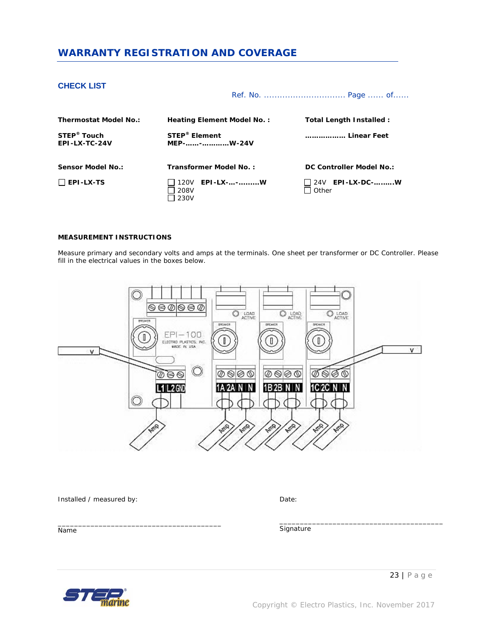### *WARRANTY REGISTRATION AND COVERAGE*

### **CHECK LIST**

Ref. No. ............................... Page ...... of......

| <b>Thermostat Model No.:</b>             | Heating Element Model No.:                    | Total Length Installed : |
|------------------------------------------|-----------------------------------------------|--------------------------|
| STEP <sup>®</sup> Touch<br>EPI-LX-TC-24V | <b>STEP<sup>®</sup></b> Element<br>MEP--W-24V | Linear Feet              |
| Sensor Model No.:                        | Transformer Model No.:                        | DC Controller Model No.: |
| $\Box$ EPI-LX-TS                         | 120V EPI-LX--W<br>208V<br>230V                | Other                    |

### **MEASUREMENT INSTRUCTIONS**

Measure primary and secondary volts and amps at the terminals. One sheet per transformer or DC Controller. Please fill in the electrical values in the boxes below.



Installed / measured by:

\_\_\_\_\_\_\_\_\_\_\_\_\_\_\_\_\_\_\_\_\_\_\_\_\_\_\_\_\_\_\_\_\_\_\_\_\_\_\_\_

Date:

Name

**Signature** 



\_\_\_\_\_\_\_\_\_\_\_\_\_\_\_\_\_\_\_\_\_\_\_\_\_\_\_\_\_\_\_\_\_\_\_\_\_\_\_\_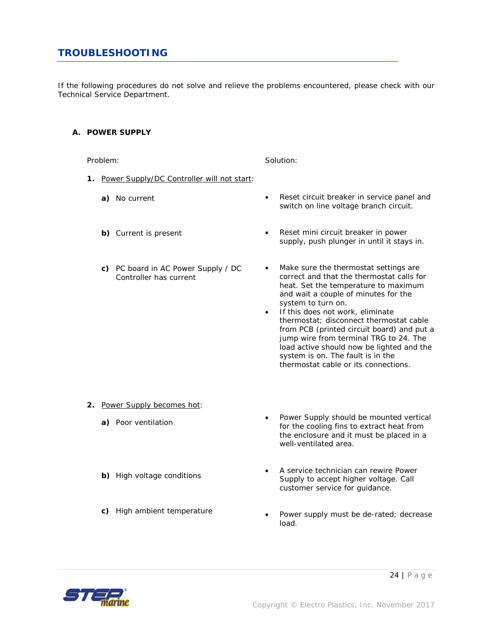### *TROUBLESHOOTING*

If the following procedures do not solve and relieve the problems encountered, please check with our Technical Service Department.

### **A. POWER SUPPLY**

Problem:

Solution:

- **1.** Power Supply/DC Controller will not start:
	- **a)** No current
	- **b)** Current is present
	- **c)** PC board in AC Power Supply / DC Controller has current
- Reset circuit breaker in service panel and switch on line voltage branch circuit.
- Reset mini circuit breaker in power supply, push plunger in until it stays in.
- Make sure the thermostat settings are correct and that the thermostat calls for heat. Set the temperature to maximum and wait a couple of minutes for the system to turn on.
- If this does not work, eliminate thermostat; disconnect thermostat cable from PCB (printed circuit board) and put a jump wire from terminal TRG to 24. The load active should now be lighted and the system is on. The fault is in the thermostat cable or its connections.

- **2.** Power Supply becomes hot:
	- **a)** Poor ventilation
	- **b)** High voltage conditions
	- **c)** High ambient temperature
- Power Supply should be mounted vertical for the cooling fins to extract heat from the enclosure and it must be placed in a well-ventilated area.
- A service technician can rewire Power Supply to accept higher voltage. Call customer service for guidance.
- Power supply must be de-rated; decrease load.

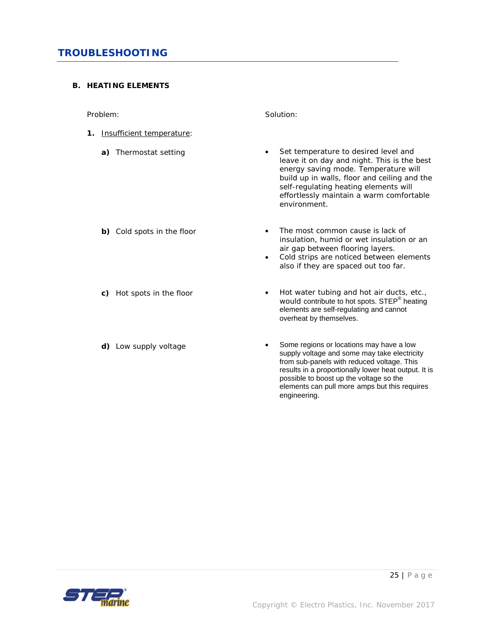### **B. HEATING ELEMENTS**

Problem:

- **1.** Insufficient temperature:
	- **a)** Thermostat setting

- **b)** Cold spots in the floor
- **c)** Hot spots in the floor
- **d)** Low supply voltage

Solution:

- Set temperature to desired level and leave it on day and night. This is the best energy saving mode. Temperature will build up in walls, floor and ceiling and the self-regulating heating elements will effortlessly maintain a warm comfortable environment.
- The most common cause is lack of insulation, humid or wet insulation or an air gap between flooring layers.
- Cold strips are noticed between elements also if they are spaced out too far.
- Hot water tubing and hot air ducts, etc., would contribute to hot spots. STEP<sup>®</sup> heating elements are self-regulating and cannot overheat by themselves.
- Some regions or locations may have a low supply voltage and some may take electricity from sub-panels with reduced voltage. This results in a proportionally lower heat output. It is possible to boost up the voltage so the elements can pull more amps but this requires engineering.

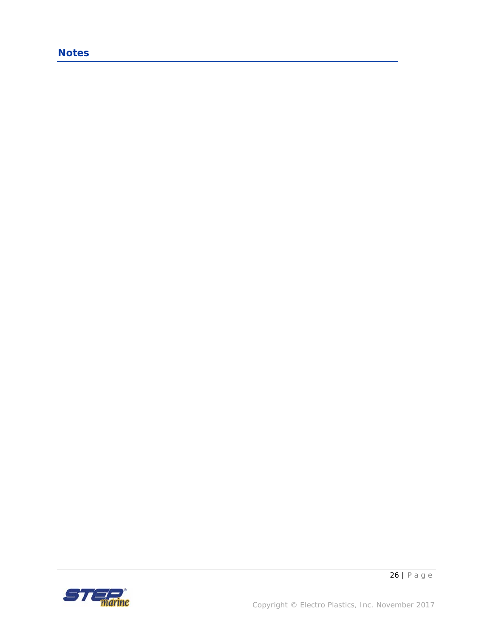### *Notes*

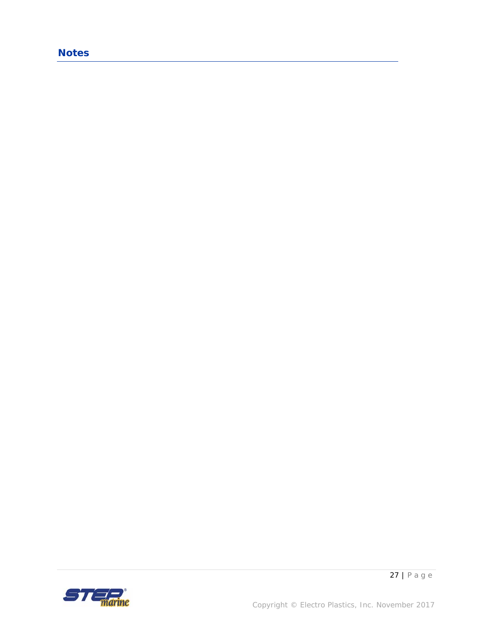### *Notes*